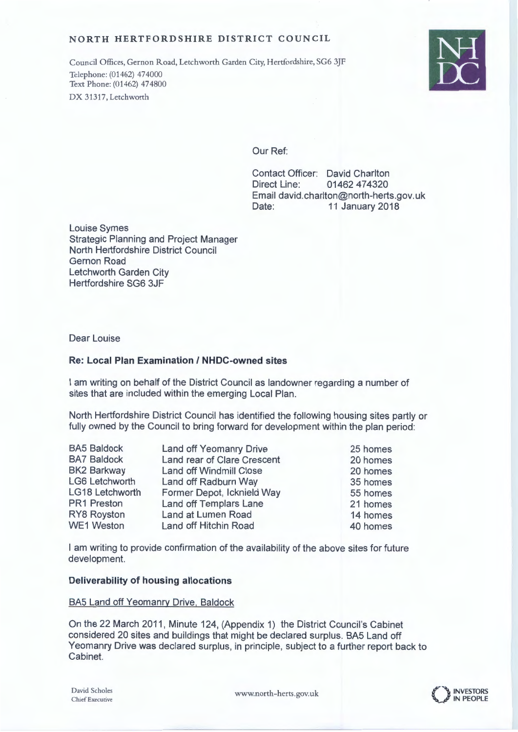### NORTH HERTFORDSHIRE DISTRICT COUNCIL

Council Offices, Gernon Road, Letchworth Garden City, Hertfordshire, SG6 3JF Telephone: (01462) 474000 Text Phone: (01462) 474800 DX 31317. Letchworth



## Our Ref:

Contact Officer: David Charlton Direct Line: 01462 474320 Email david.charlton@north-herts.gov.uk Date: 11 January 2018

**Louise Symes Strategic Planning and Project Manager** North Hertfordshire District Council **Gernon Road** Letchworth Garden City Hertfordshire SG6 3JF

Dear Louise

### **Re: Local Plan Examination / NHDC-owned sites**

I am writing on behalf of the District Council as landowner regarding a number of sites that are included within the emerging Local Plan.

North Hertfordshire District Council has identified the following housing sites partly or fully owned by the Council to bring forward for development within the plan period:

| <b>BA5 Baldock</b>    | <b>Land off Yeomanry Drive</b> | 25 homes |
|-----------------------|--------------------------------|----------|
| <b>BA7 Baldock</b>    | Land rear of Clare Crescent    | 20 homes |
| <b>BK2 Barkway</b>    | <b>Land off Windmill Close</b> | 20 homes |
| <b>LG6 Letchworth</b> | Land off Radburn Way           | 35 homes |
| LG18 Letchworth       | Former Depot, Icknield Way     | 55 homes |
| <b>PR1 Preston</b>    | Land off Templars Lane         | 21 homes |
| RY8 Royston           | Land at Lumen Road             | 14 homes |
| <b>WE1 Weston</b>     | Land off Hitchin Road          | 40 homes |

I am writing to provide confirmation of the availability of the above sites for future development.

## Deliverability of housing allocations

BA5 Land off Yeomanry Drive, Baldock

On the 22 March 2011, Minute 124, (Appendix 1) the District Council's Cabinet considered 20 sites and buildings that might be declared surplus. BA5 Land off Yeomanry Drive was declared surplus, in principle, subject to a further report back to Cabinet.

www.north-herts.gov.uk

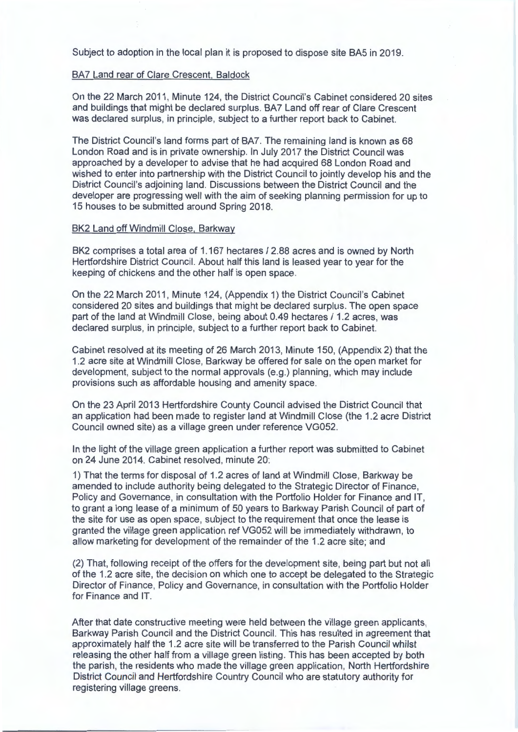Subject to adoption in the local plan it is proposed to dispose site BA5 in 2019.

### BA7 Land rear of Clare Crescent, Baldock

On the 22 March 2011, Minute 124, the District Council's Cabinet considered 20 sites and buildings that might be declared surplus. BA7 Land off rear of Clare Crescent was declared surplus, in principle, subject to a further report back to Cabinet.

The District Council's land forms part of BA7. The remaining land is known as 68 London Road and is in private ownership. In July 2017 the District Council was approached by a developer to advise that he had acquired 68 London Road and wished to enter into partnership with the District Council to jointly develop his and the District Council's adjoining land. Discussions between the District Council and the developer are progressing well with the aim of seeking planning permission for up to 15 houses to be submitted around Spring 2018.

### BK2 Land off Windmill Close, Barkway

BK2 comprises a total area of 1.167 hectares / 2.88 acres and is owned by North Hertfordshire District Council. About half this land is leased year to year for the keeping of chickens and the other half is open space.

On the 22 March 2011, Minute 124, (Appendix 1) the District Council's Cabinet considered 20 sites and buildings that might be declared surplus. The open space part of the land at Windmill Close, being about 0.49 hectares / 1.2 acres, was declared surplus, in principle, subject to a further report back to Cabinet.

Cabinet resolved at its meeting of 26 March 2013, Minute 150, (Appendix 2) that the 1.2 acre site at Windmill Close, Barkway be offered for sale on the open market for development, subject to the normal approvals (e.g.) planning, which may include provisions such as affordable housing and amenity space.

On the 23 April 2013 Hertfordshire County Council advised the District Council that an application had been made to register land at Windmill Close (the 1.2 acre District Council owned site) as a village green under reference VG052.

In the light of the village green application a further report was submitted to Cabinet on 24 June 2014. Cabinet resolved, minute 20:

1) That the terms for disposal of 1.2 acres of land at Windmill Close, Barkway be amended to include authority being delegated to the Strategic Director of Finance, Policy and Governance, in consultation with the Portfolio Holder for Finance and IT, to grant a long lease of a minimum of 50 years to Barkway Parish Council of part of the site for use as open space, subject to the requirement that once the lease is granted the village green application ref VG052 will be immediately withdrawn, to allow marketing for development of the remainder of the 1.2 acre site; and

(2) That, following receipt of the offers for the development site, being part but not all of the 1.2 acre site, the decision on which one to accept be delegated to the Strategic Director of Finance, Policy and Governance, in consultation with the Portfolio Holder for Finance and IT.

After that date constructive meeting were held between the village green applicants, Barkway Parish Council and the District Council. This has resulted in agreement that approximately half the 1.2 acre site will be transferred to the Parish Council whilst releasing the other half from a village green listing. This has been accepted by both the parish, the residents who made the village green application, North Hertfordshire District Council and Hertfordshire Country Council who are statutory authority for registering village greens.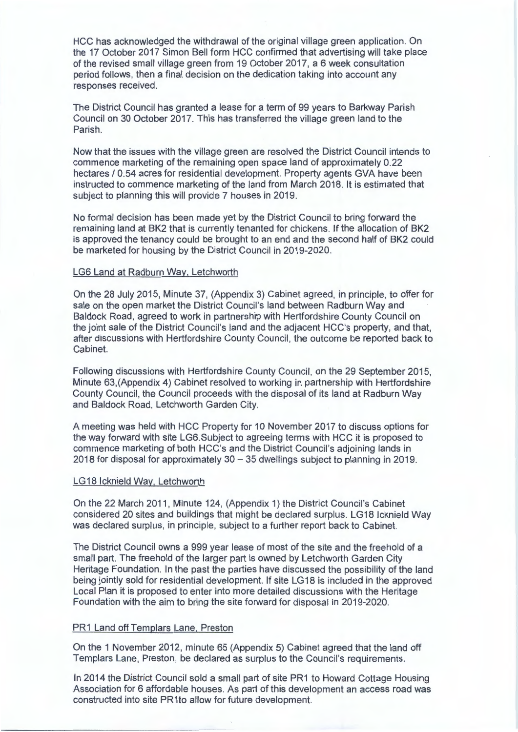HCC has acknowledged the withdrawal of the original village green application. On the 17 October 2017 Simon Bell form HCC confirmed that advertising will take place of the revised small village green from 19 October 2017, a 6 week consultation period follows, then a final decision on the dedication taking into account any responses received.

The District Council has granted a lease for a term of 99 years to Barkway Parish Council on 30 October 2017. This has transferred the village green land to the Parish.

Now that the issues with the village green are resolved the District Council intends to commence marketing of the remaining open space land of approximately 0.22 hectares / 0.54 acres for residential development. Property agents GVA have been instructed to commence marketing of the land from March 2018. It is estimated that subject to planning this will provide 7 houses in 2019.

No formal decision has been made yet by the District Council to bring forward the remaining land at BK2 that is currently tenanted for chickens. If the allocation of BK2 is approved the tenancy could be brought to an end and the second half of BK2 could be marketed for housing by the District Council in 2019-2020.

### LG6 Land at Radburn Way, Letchworth

On the 28 July 2015, Minute 37, (Appendix 3) Cabinet agreed, in principle, to offer for sale on the open market the District Council's land between Radburn Way and Baldock Road, agreed to work in partnership with Hertfordshire County Council on the joint sale of the District Council's land and the adjacent HCC's property, and that, after discussions with Hertfordshire County Council, the outcome be reported back to Cabinet.

Following discussions with Hertfordshire County Council, on the 29 September 2015. Minute 63, (Appendix 4) Cabinet resolved to working in partnership with Hertfordshire County Council, the Council proceeds with the disposal of its land at Radburn Way and Baldock Road, Letchworth Garden City.

A meeting was held with HCC Property for 10 November 2017 to discuss options for the way forward with site LG6. Subject to agreeing terms with HCC it is proposed to commence marketing of both HCC's and the District Council's adjoining lands in 2018 for disposal for approximately 30 - 35 dwellings subject to planning in 2019.

### LG18 Icknield Way, Letchworth

On the 22 March 2011, Minute 124, (Appendix 1) the District Council's Cabinet considered 20 sites and buildings that might be declared surplus. LG18 Icknield Way was declared surplus, in principle, subject to a further report back to Cabinet.

The District Council owns a 999 year lease of most of the site and the freehold of a small part. The freehold of the larger part is owned by Letchworth Garden City Heritage Foundation. In the past the parties have discussed the possibility of the land being jointly sold for residential development. If site LG18 is included in the approved Local Plan it is proposed to enter into more detailed discussions with the Heritage Foundation with the aim to bring the site forward for disposal in 2019-2020.

### PR1 Land off Templars Lane, Preston

On the 1 November 2012, minute 65 (Appendix 5) Cabinet agreed that the land off Templars Lane, Preston, be declared as surplus to the Council's requirements.

In 2014 the District Council sold a small part of site PR1 to Howard Cottage Housing Association for 6 affordable houses. As part of this development an access road was constructed into site PR1to allow for future development.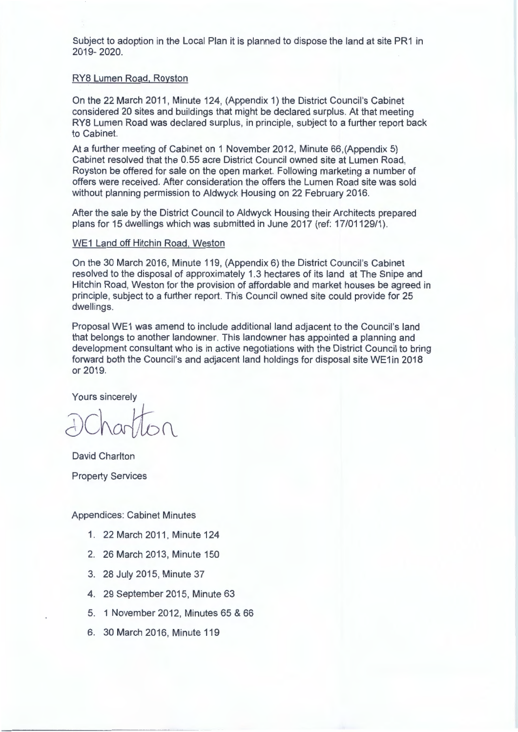Subject to adoption in the Local Plan it is planned to dispose the land at site PR1 in 2019-2020.

### RY8 Lumen Road, Royston

On the 22 March 2011, Minute 124, (Appendix 1) the District Council's Cabinet considered 20 sites and buildings that might be declared surplus. At that meeting RY8 Lumen Road was declared surplus, in principle, subject to a further report back to Cabinet.

At a further meeting of Cabinet on 1 November 2012. Minute 66 (Appendix 5) Cabinet resolved that the 0.55 acre District Council owned site at Lumen Road. Royston be offered for sale on the open market. Following marketing a number of offers were received. After consideration the offers the Lumen Road site was sold without planning permission to Aldwyck Housing on 22 February 2016.

After the sale by the District Council to Aldwyck Housing their Architects prepared plans for 15 dwellings which was submitted in June 2017 (ref: 17/01129/1).

### WE1 Land off Hitchin Road, Weston

On the 30 March 2016, Minute 119, (Appendix 6) the District Council's Cabinet resolved to the disposal of approximately 1.3 hectares of its land at The Snipe and Hitchin Road, Weston for the provision of affordable and market houses be agreed in principle, subject to a further report. This Council owned site could provide for 25 dwellings.

Proposal WE1 was amend to include additional land adjacent to the Council's land that belongs to another landowner. This landowner has appointed a planning and development consultant who is in active negotiations with the District Council to bring forward both the Council's and adjacent land holdings for disposal site WE1in 2018 or 2019.

Yours sincerely

David Charlton **Property Services** 

**Appendices: Cabinet Minutes** 

- 1. 22 March 2011, Minute 124
- 2. 26 March 2013, Minute 150
- 3. 28 July 2015, Minute 37
- 4. 29 September 2015, Minute 63
- 5. 1 November 2012, Minutes 65 & 66
- 6. 30 March 2016, Minute 119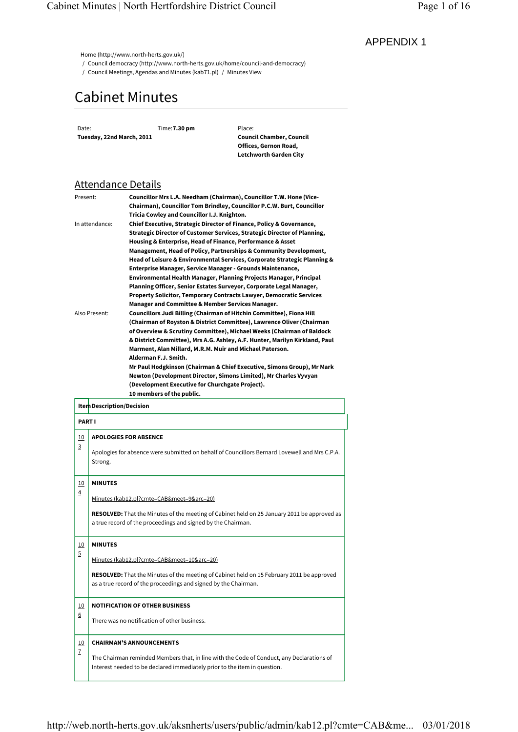# Cabinet Minutes

## Attendance Details

| Present:       | Councillor Mrs L.A. Needham (Chairman), Councillor T.W. Hone (Vice-         |
|----------------|-----------------------------------------------------------------------------|
|                | Chairman), Councillor Tom Brindley, Councillor P.C.W. Burt, Councillor      |
|                | Tricia Cowley and Councillor I.J. Knighton.                                 |
| In attendance: | Chief Executive, Strategic Director of Finance, Policy & Governance,        |
|                | Strategic Director of Customer Services, Strategic Director of Planning,    |
|                | Housing & Enterprise, Head of Finance, Performance & Asset                  |
|                | Management, Head of Policy, Partnerships & Community Development,           |
|                | Head of Leisure & Environmental Services, Corporate Strategic Planning &    |
|                | Enterprise Manager, Service Manager - Grounds Maintenance,                  |
|                | Environmental Health Manager, Planning Projects Manager, Principal          |
|                | Planning Officer, Senior Estates Surveyor, Corporate Legal Manager,         |
|                | Property Solicitor, Temporary Contracts Lawyer, Democratic Services         |
|                | Manager and Committee & Member Services Manager.                            |
| Also Present:  | Councillors Judi Billing (Chairman of Hitchin Committee), Fiona Hill        |
|                | (Chairman of Royston & District Committee), Lawrence Oliver (Chairman       |
|                | of Overview & Scrutiny Committee), Michael Weeks (Chairman of Baldock       |
|                | & District Committee), Mrs A.G. Ashley, A.F. Hunter, Marilyn Kirkland, Paul |
|                | Marment, Alan Millard, M.R.M. Muir and Michael Paterson.                    |
|                | Alderman F.J. Smith.                                                        |
|                | Mr Paul Hodgkinson (Chairman & Chief Executive, Simons Group), Mr Mark      |
|                | Newton (Development Director, Simons Limited), Mr Charles Vyvyan            |
|                | (Development Executive for Churchgate Project).                             |
|                | 10 members of the public.                                                   |
|                |                                                                             |

|                              |                           | <b>Cabinet Minutes</b>                                                                                                                                                                  |                                                                                                                                                                                                                                                                                                                                                                                                                                                                                                                                                                                                                                                                                                                                                                                                                   |  |
|------------------------------|---------------------------|-----------------------------------------------------------------------------------------------------------------------------------------------------------------------------------------|-------------------------------------------------------------------------------------------------------------------------------------------------------------------------------------------------------------------------------------------------------------------------------------------------------------------------------------------------------------------------------------------------------------------------------------------------------------------------------------------------------------------------------------------------------------------------------------------------------------------------------------------------------------------------------------------------------------------------------------------------------------------------------------------------------------------|--|
| Date:                        | Tuesday, 22nd March, 2011 | Time: 7.30 pm                                                                                                                                                                           | Place:<br><b>Council Chamber, Council</b><br>Offices, Gernon Road,<br>Letchworth Garden City                                                                                                                                                                                                                                                                                                                                                                                                                                                                                                                                                                                                                                                                                                                      |  |
|                              |                           | <u>Attendance Details</u>                                                                                                                                                               |                                                                                                                                                                                                                                                                                                                                                                                                                                                                                                                                                                                                                                                                                                                                                                                                                   |  |
| Present:                     |                           |                                                                                                                                                                                         | Councillor Mrs L.A. Needham (Chairman), Councillor T.W. Hone (Vice-<br>Chairman), Councillor Tom Brindley, Councillor P.C.W. Burt, Councillor                                                                                                                                                                                                                                                                                                                                                                                                                                                                                                                                                                                                                                                                     |  |
|                              | In attendance:            | Tricia Cowley and Councillor I.J. Knighton.                                                                                                                                             | Chief Executive, Strategic Director of Finance, Policy & Governance,<br>Strategic Director of Customer Services, Strategic Director of Planning,<br>Housing & Enterprise, Head of Finance, Performance & Asset<br>Management, Head of Policy, Partnerships & Community Development,                                                                                                                                                                                                                                                                                                                                                                                                                                                                                                                               |  |
|                              | Also Present:             | Manager and Committee & Member Services Manager.<br>Marment, Alan Millard, M.R.M. Muir and Michael Paterson.<br>Alderman F.J. Smith.<br>(Development Executive for Churchgate Project). | Head of Leisure & Environmental Services, Corporate Strategic Planning &<br>Enterprise Manager, Service Manager - Grounds Maintenance,<br>Environmental Health Manager, Planning Projects Manager, Principal<br>Planning Officer, Senior Estates Surveyor, Corporate Legal Manager,<br>Property Solicitor, Temporary Contracts Lawyer, Democratic Services<br>Councillors Judi Billing (Chairman of Hitchin Committee), Fiona Hill<br>(Chairman of Royston & District Committee), Lawrence Oliver (Chairman<br>of Overview & Scrutiny Committee), Michael Weeks (Chairman of Baldock<br>& District Committee), Mrs A.G. Ashley, A.F. Hunter, Marilyn Kirkland, Paul<br>Mr Paul Hodgkinson (Chairman & Chief Executive, Simons Group), Mr Mark<br>Newton (Development Director, Simons Limited), Mr Charles Vyvyan |  |
|                              | Item Description/Decision | 10 members of the public.                                                                                                                                                               |                                                                                                                                                                                                                                                                                                                                                                                                                                                                                                                                                                                                                                                                                                                                                                                                                   |  |
| <b>PART I</b>                |                           |                                                                                                                                                                                         |                                                                                                                                                                                                                                                                                                                                                                                                                                                                                                                                                                                                                                                                                                                                                                                                                   |  |
| <u>10</u><br>3               | Strong.                   | <b>APOLOGIES FOR ABSENCE</b>                                                                                                                                                            | Apologies for absence were submitted on behalf of Councillors Bernard Lovewell and Mrs C.P.A.                                                                                                                                                                                                                                                                                                                                                                                                                                                                                                                                                                                                                                                                                                                     |  |
| <u>10</u><br>4               | <b>MINUTES</b>            |                                                                                                                                                                                         |                                                                                                                                                                                                                                                                                                                                                                                                                                                                                                                                                                                                                                                                                                                                                                                                                   |  |
|                              |                           | Minutes (kab12.pl?cmte=CAB&meet=9&arc=20)<br>a true record of the proceedings and signed by the Chairman.                                                                               | RESOLVED: That the Minutes of the meeting of Cabinet held on 25 January 2011 be approved as                                                                                                                                                                                                                                                                                                                                                                                                                                                                                                                                                                                                                                                                                                                       |  |
|                              | <b>MINUTES</b>            | Minutes (kab12.pl?cmte=CAB&meet=10&arc=20)                                                                                                                                              |                                                                                                                                                                                                                                                                                                                                                                                                                                                                                                                                                                                                                                                                                                                                                                                                                   |  |
| <u> 10</u><br>$\overline{5}$ |                           | as a true record of the proceedings and signed by the Chairman.                                                                                                                         | <b>RESOLVED:</b> That the Minutes of the meeting of Cabinet held on 15 February 2011 be approved                                                                                                                                                                                                                                                                                                                                                                                                                                                                                                                                                                                                                                                                                                                  |  |
|                              |                           | <b>NOTIFICATION OF OTHER BUSINESS</b>                                                                                                                                                   |                                                                                                                                                                                                                                                                                                                                                                                                                                                                                                                                                                                                                                                                                                                                                                                                                   |  |
| <u>10</u><br>6               |                           | There was no notification of other business.                                                                                                                                            |                                                                                                                                                                                                                                                                                                                                                                                                                                                                                                                                                                                                                                                                                                                                                                                                                   |  |
|                              |                           |                                                                                                                                                                                         |                                                                                                                                                                                                                                                                                                                                                                                                                                                                                                                                                                                                                                                                                                                                                                                                                   |  |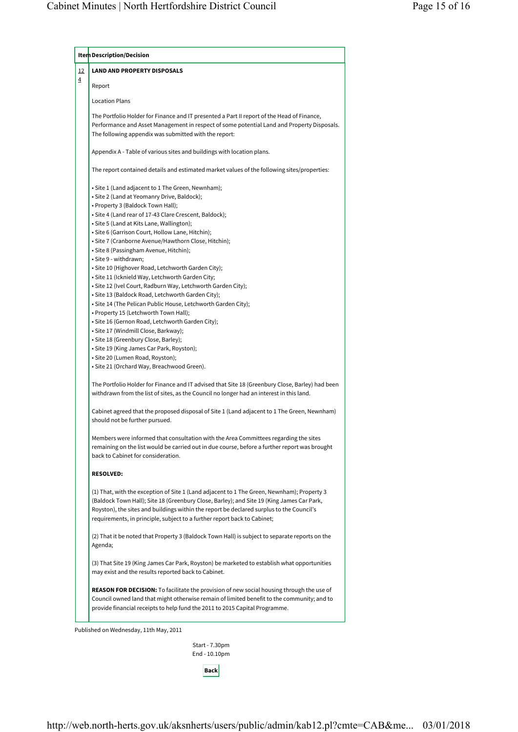| Item Description/Decision                                                                                                                                                                                                                                                                                                                                       |
|-----------------------------------------------------------------------------------------------------------------------------------------------------------------------------------------------------------------------------------------------------------------------------------------------------------------------------------------------------------------|
| <b>LAND AND PROPERTY DISPOSALS</b>                                                                                                                                                                                                                                                                                                                              |
| Report                                                                                                                                                                                                                                                                                                                                                          |
| <b>Location Plans</b>                                                                                                                                                                                                                                                                                                                                           |
| The Portfolio Holder for Finance and IT presented a Part II report of the Head of Finance,<br>Performance and Asset Management in respect of some potential Land and Property Disposals.<br>The following appendix was submitted with the report:                                                                                                               |
| Appendix A - Table of various sites and buildings with location plans.                                                                                                                                                                                                                                                                                          |
| The report contained details and estimated market values of the following sites/properties:                                                                                                                                                                                                                                                                     |
| • Site 1 (Land adjacent to 1 The Green, Newnham);                                                                                                                                                                                                                                                                                                               |
| • Site 2 (Land at Yeomanry Drive, Baldock);                                                                                                                                                                                                                                                                                                                     |
| • Property 3 (Baldock Town Hall);                                                                                                                                                                                                                                                                                                                               |
| · Site 4 (Land rear of 17-43 Clare Crescent, Baldock);                                                                                                                                                                                                                                                                                                          |
| · Site 5 (Land at Kits Lane, Wallington);                                                                                                                                                                                                                                                                                                                       |
| · Site 6 (Garrison Court, Hollow Lane, Hitchin);                                                                                                                                                                                                                                                                                                                |
| • Site 7 (Cranborne Avenue/Hawthorn Close, Hitchin);                                                                                                                                                                                                                                                                                                            |
| • Site 8 (Passingham Avenue, Hitchin);                                                                                                                                                                                                                                                                                                                          |
| • Site 9 - withdrawn;                                                                                                                                                                                                                                                                                                                                           |
|                                                                                                                                                                                                                                                                                                                                                                 |
| · Site 10 (Highover Road, Letchworth Garden City);                                                                                                                                                                                                                                                                                                              |
| · Site 11 (Icknield Way, Letchworth Garden City;                                                                                                                                                                                                                                                                                                                |
| • Site 12 (Ivel Court, Radburn Way, Letchworth Garden City);                                                                                                                                                                                                                                                                                                    |
| • Site 13 (Baldock Road, Letchworth Garden City);                                                                                                                                                                                                                                                                                                               |
| • Site 14 (The Pelican Public House, Letchworth Garden City);                                                                                                                                                                                                                                                                                                   |
| • Property 15 (Letchworth Town Hall);                                                                                                                                                                                                                                                                                                                           |
| · Site 16 (Gernon Road, Letchworth Garden City);                                                                                                                                                                                                                                                                                                                |
| • Site 17 (Windmill Close, Barkway);                                                                                                                                                                                                                                                                                                                            |
| · Site 18 (Greenbury Close, Barley);                                                                                                                                                                                                                                                                                                                            |
| • Site 19 (King James Car Park, Royston);                                                                                                                                                                                                                                                                                                                       |
| · Site 20 (Lumen Road, Royston);                                                                                                                                                                                                                                                                                                                                |
| • Site 21 (Orchard Way, Breachwood Green).                                                                                                                                                                                                                                                                                                                      |
| The Portfolio Holder for Finance and IT advised that Site 18 (Greenbury Close, Barley) had been<br>withdrawn from the list of sites, as the Council no longer had an interest in this land.                                                                                                                                                                     |
|                                                                                                                                                                                                                                                                                                                                                                 |
| Cabinet agreed that the proposed disposal of Site 1 (Land adjacent to 1 The Green, Newnham)<br>should not be further pursued.                                                                                                                                                                                                                                   |
| Members were informed that consultation with the Area Committees regarding the sites<br>remaining on the list would be carried out in due course, before a further report was brought<br>back to Cabinet for consideration.                                                                                                                                     |
| <b>RESOLVED:</b>                                                                                                                                                                                                                                                                                                                                                |
| (1) That, with the exception of Site 1 (Land adjacent to 1 The Green, Newnham); Property 3<br>(Baldock Town Hall); Site 18 (Greenbury Close, Barley); and Site 19 (King James Car Park,<br>Royston), the sites and buildings within the report be declared surplus to the Council's<br>requirements, in principle, subject to a further report back to Cabinet; |
| (2) That it be noted that Property 3 (Baldock Town Hall) is subject to separate reports on the<br>Agenda;                                                                                                                                                                                                                                                       |
| (3) That Site 19 (King James Car Park, Royston) be marketed to establish what opportunities<br>may exist and the results reported back to Cabinet.                                                                                                                                                                                                              |
| REASON FOR DECISION: To facilitate the provision of new social housing through the use of                                                                                                                                                                                                                                                                       |
| Council owned land that might otherwise remain of limited benefit to the community; and to<br>provide financial receipts to help fund the 2011 to 2015 Capital Programme.                                                                                                                                                                                       |

Start - 7.30pm End - 10.10pm

**Back**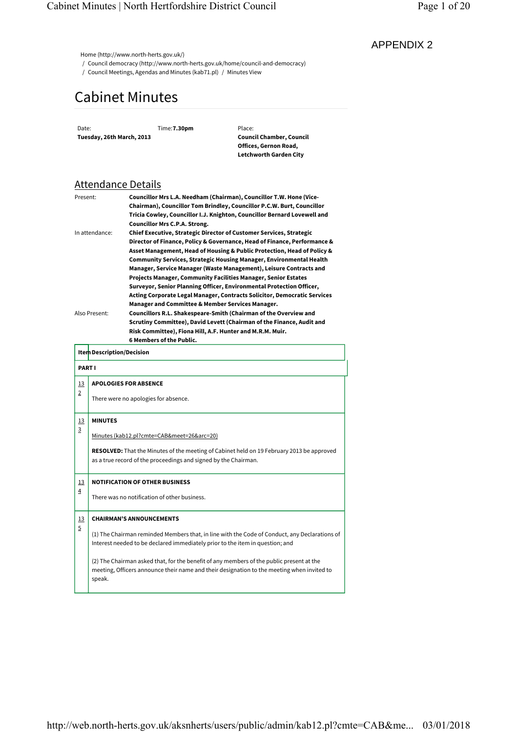# Cabinet Minutes

# Attendance Details

| Present:       | Councillor Mrs L.A. Needham (Chairman), Councillor T.W. Hone (Vice-        |
|----------------|----------------------------------------------------------------------------|
|                | Chairman), Councillor Tom Brindley, Councillor P.C.W. Burt, Councillor     |
|                | Tricia Cowley, Councillor I.J. Knighton, Councillor Bernard Lovewell and   |
|                | <b>Councillor Mrs C.P.A. Strong.</b>                                       |
| In attendance: | <b>Chief Executive, Strategic Director of Customer Services, Strategic</b> |
|                | Director of Finance, Policy & Governance, Head of Finance, Performance &   |
|                | Asset Management, Head of Housing & Public Protection, Head of Policy &    |
|                | <b>Community Services, Strategic Housing Manager, Environmental Health</b> |
|                | Manager, Service Manager (Waste Management), Leisure Contracts and         |
|                | <b>Projects Manager, Community Facilities Manager, Senior Estates</b>      |
|                | Surveyor, Senior Planning Officer, Environmental Protection Officer,       |
|                | Acting Corporate Legal Manager, Contracts Solicitor, Democratic Services   |
|                | Manager and Committee & Member Services Manager.                           |
| Also Present:  | Councillors R.L. Shakespeare-Smith (Chairman of the Overview and           |
|                | Scrutiny Committee), David Levett (Chairman of the Finance, Audit and      |
|                | Risk Committee), Fiona Hill, A.F. Hunter and M.R.M. Muir.                  |
|                | 6 Members of the Public.                                                   |

|                             | Date:<br>Tuesday, 26th March, 2013 | Time: 7.30pm                                                                                                  | Place:<br><b>Council Chamber, Council</b><br>Offices, Gernon Road,<br>Letchworth Garden City                                                                                                                                                                                                                                                                                                                                                                                                                                                                                                                                                                                                                    |  |
|-----------------------------|------------------------------------|---------------------------------------------------------------------------------------------------------------|-----------------------------------------------------------------------------------------------------------------------------------------------------------------------------------------------------------------------------------------------------------------------------------------------------------------------------------------------------------------------------------------------------------------------------------------------------------------------------------------------------------------------------------------------------------------------------------------------------------------------------------------------------------------------------------------------------------------|--|
|                             | <b>Attendance Details</b>          |                                                                                                               |                                                                                                                                                                                                                                                                                                                                                                                                                                                                                                                                                                                                                                                                                                                 |  |
| Present:                    | In attendance:                     | <b>Councillor Mrs C.P.A. Strong.</b>                                                                          | Councillor Mrs L.A. Needham (Chairman), Councillor T.W. Hone (Vice-<br>Chairman), Councillor Tom Brindley, Councillor P.C.W. Burt, Councillor<br>Tricia Cowley, Councillor I.J. Knighton, Councillor Bernard Lovewell and<br><b>Chief Executive, Strategic Director of Customer Services, Strategic</b><br>Director of Finance, Policy & Governance, Head of Finance, Performance &                                                                                                                                                                                                                                                                                                                             |  |
|                             | Also Present:                      | 6 Members of the Public.                                                                                      | Asset Management, Head of Housing & Public Protection, Head of Policy &<br><b>Community Services, Strategic Housing Manager, Environmental Health</b><br>Manager, Service Manager (Waste Management), Leisure Contracts and<br>Projects Manager, Community Facilities Manager, Senior Estates<br>Surveyor, Senior Planning Officer, Environmental Protection Officer,<br>Acting Corporate Legal Manager, Contracts Solicitor, Democratic Services<br>Manager and Committee & Member Services Manager.<br>Councillors R.L. Shakespeare-Smith (Chairman of the Overview and<br>Scrutiny Committee), David Levett (Chairman of the Finance, Audit and<br>Risk Committee), Fiona Hill, A.F. Hunter and M.R.M. Muir. |  |
|                             | Item Description/Decision          |                                                                                                               |                                                                                                                                                                                                                                                                                                                                                                                                                                                                                                                                                                                                                                                                                                                 |  |
| <b>PART I</b>               |                                    |                                                                                                               |                                                                                                                                                                                                                                                                                                                                                                                                                                                                                                                                                                                                                                                                                                                 |  |
| <u>13</u><br>$\overline{2}$ | <b>APOLOGIES FOR ABSENCE</b>       | There were no apologies for absence.                                                                          |                                                                                                                                                                                                                                                                                                                                                                                                                                                                                                                                                                                                                                                                                                                 |  |
| <u>13</u><br>3              | <b>MINUTES</b>                     | Minutes (kab12.pl?cmte=CAB&meet=26&arc=20)<br>as a true record of the proceedings and signed by the Chairman. | RESOLVED: That the Minutes of the meeting of Cabinet held on 19 February 2013 be approved                                                                                                                                                                                                                                                                                                                                                                                                                                                                                                                                                                                                                       |  |
| <u>13</u><br>$\overline{4}$ |                                    | <b>NOTIFICATION OF OTHER BUSINESS</b><br>There was no notification of other business.                         |                                                                                                                                                                                                                                                                                                                                                                                                                                                                                                                                                                                                                                                                                                                 |  |
| <u>13</u>                   | <b>CHAIRMAN'S ANNOUNCEMENTS</b>    |                                                                                                               |                                                                                                                                                                                                                                                                                                                                                                                                                                                                                                                                                                                                                                                                                                                 |  |
| $\overline{5}$              |                                    |                                                                                                               | (1) The Chairman reminded Members that, in line with the Code of Conduct, any Declarations of<br>Interest needed to be declared immediately prior to the item in question; and                                                                                                                                                                                                                                                                                                                                                                                                                                                                                                                                  |  |
|                             | speak.                             |                                                                                                               | (2) The Chairman asked that, for the benefit of any members of the public present at the<br>meeting, Officers announce their name and their designation to the meeting when invited to                                                                                                                                                                                                                                                                                                                                                                                                                                                                                                                          |  |
|                             |                                    |                                                                                                               |                                                                                                                                                                                                                                                                                                                                                                                                                                                                                                                                                                                                                                                                                                                 |  |
|                             |                                    |                                                                                                               |                                                                                                                                                                                                                                                                                                                                                                                                                                                                                                                                                                                                                                                                                                                 |  |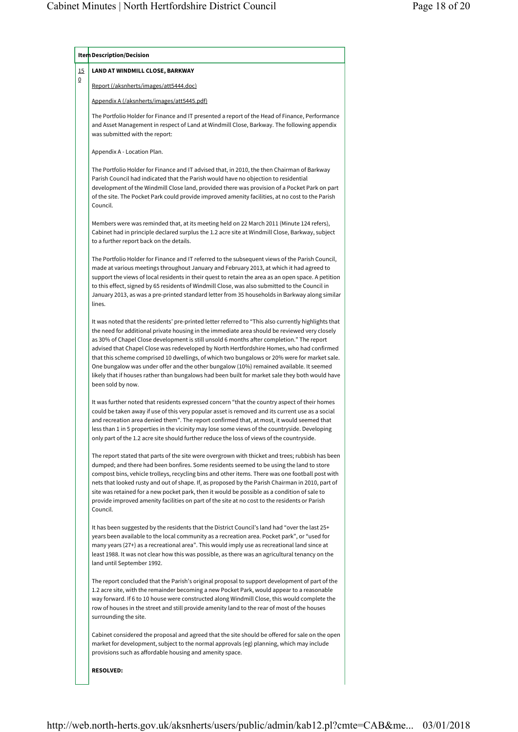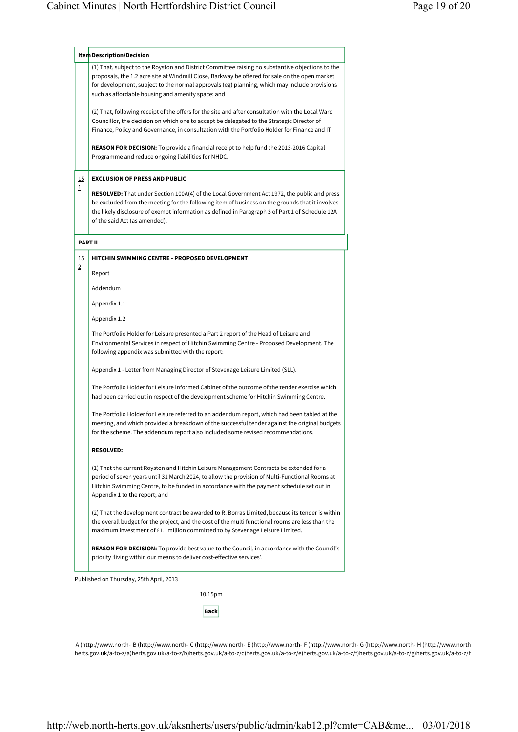|                | Item Description/Decision                                                                                                                                                                                                                                                                                                                 |  |  |  |  |  |  |
|----------------|-------------------------------------------------------------------------------------------------------------------------------------------------------------------------------------------------------------------------------------------------------------------------------------------------------------------------------------------|--|--|--|--|--|--|
|                | (1) That, subject to the Royston and District Committee raising no substantive objections to the<br>proposals, the 1.2 acre site at Windmill Close, Barkway be offered for sale on the open market                                                                                                                                        |  |  |  |  |  |  |
|                | for development, subject to the normal approvals (eg) planning, which may include provisions                                                                                                                                                                                                                                              |  |  |  |  |  |  |
|                | such as affordable housing and amenity space; and                                                                                                                                                                                                                                                                                         |  |  |  |  |  |  |
|                | (2) That, following receipt of the offers for the site and after consultation with the Local Ward                                                                                                                                                                                                                                         |  |  |  |  |  |  |
|                | Councillor, the decision on which one to accept be delegated to the Strategic Director of<br>Finance, Policy and Governance, in consultation with the Portfolio Holder for Finance and IT.                                                                                                                                                |  |  |  |  |  |  |
|                | <b>REASON FOR DECISION:</b> To provide a financial receipt to help fund the 2013-2016 Capital<br>Programme and reduce ongoing liabilities for NHDC.                                                                                                                                                                                       |  |  |  |  |  |  |
| <u>15</u>      | <b>EXCLUSION OF PRESS AND PUBLIC</b>                                                                                                                                                                                                                                                                                                      |  |  |  |  |  |  |
| 1              | <b>RESOLVED:</b> That under Section 100A(4) of the Local Government Act 1972, the public and press<br>be excluded from the meeting for the following item of business on the grounds that it involves<br>the likely disclosure of exempt information as defined in Paragraph 3 of Part 1 of Schedule 12A<br>of the said Act (as amended). |  |  |  |  |  |  |
|                | <b>PART II</b>                                                                                                                                                                                                                                                                                                                            |  |  |  |  |  |  |
| <u>15</u>      | HITCHIN SWIMMING CENTRE - PROPOSED DEVELOPMENT                                                                                                                                                                                                                                                                                            |  |  |  |  |  |  |
| $\overline{2}$ | Report                                                                                                                                                                                                                                                                                                                                    |  |  |  |  |  |  |
|                | Addendum                                                                                                                                                                                                                                                                                                                                  |  |  |  |  |  |  |
|                | Appendix 1.1                                                                                                                                                                                                                                                                                                                              |  |  |  |  |  |  |
|                | Appendix 1.2                                                                                                                                                                                                                                                                                                                              |  |  |  |  |  |  |
|                | The Portfolio Holder for Leisure presented a Part 2 report of the Head of Leisure and<br>Environmental Services in respect of Hitchin Swimming Centre - Proposed Development. The<br>following appendix was submitted with the report:                                                                                                    |  |  |  |  |  |  |
|                | Appendix 1 - Letter from Managing Director of Stevenage Leisure Limited (SLL).                                                                                                                                                                                                                                                            |  |  |  |  |  |  |
|                | The Portfolio Holder for Leisure informed Cabinet of the outcome of the tender exercise which<br>had been carried out in respect of the development scheme for Hitchin Swimming Centre.                                                                                                                                                   |  |  |  |  |  |  |
|                | The Portfolio Holder for Leisure referred to an addendum report, which had been tabled at the<br>meeting, and which provided a breakdown of the successful tender against the original budgets<br>for the scheme. The addendum report also included some revised recommendations.                                                         |  |  |  |  |  |  |
|                | <b>RESOLVED:</b>                                                                                                                                                                                                                                                                                                                          |  |  |  |  |  |  |
|                | (1) That the current Royston and Hitchin Leisure Management Contracts be extended for a<br>period of seven years until 31 March 2024, to allow the provision of Multi-Functional Rooms at<br>Hitchin Swimming Centre, to be funded in accordance with the payment schedule set out in<br>Appendix 1 to the report; and                    |  |  |  |  |  |  |
|                |                                                                                                                                                                                                                                                                                                                                           |  |  |  |  |  |  |
|                | (2) That the development contract be awarded to R. Borras Limited, because its tender is within<br>the overall budget for the project, and the cost of the multi functional rooms are less than the<br>maximum investment of £1.1 million committed to by Stevenage Leisure Limited.                                                      |  |  |  |  |  |  |

ay, 25th April, 2

10.15pm **Back**

A (http://www.north-B (http://www.north-C (http://www.north-E (http://www.north-F (http://www.north-G (http://www.north-H (http://www.north herts.gov.uk/a-to-z/a) herts.gov.uk/a-to-z/b) herts.gov.uk/a-to-z/c) herts.gov.uk/a-to-z/e) herts.gov.uk/a-to-z/f) herts.gov.uk/a-to-z/g) herts.gov.uk/a-to-z/h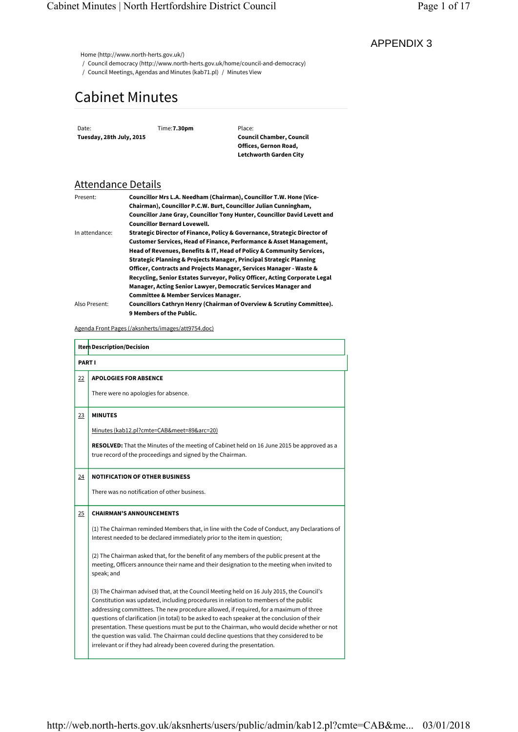# Cabinet Minutes

## Attendance Details

| Present:       | Councillor Mrs L.A. Needham (Chairman), Councillor T.W. Hone (Vice-        |
|----------------|----------------------------------------------------------------------------|
|                | Chairman), Councillor P.C.W. Burt, Councillor Julian Cunningham,           |
|                | Councillor Jane Gray, Councillor Tony Hunter, Councillor David Levett and  |
|                | <b>Councillor Bernard Lovewell.</b>                                        |
| In attendance: | Strategic Director of Finance, Policy & Governance, Strategic Director of  |
|                | Customer Services, Head of Finance, Performance & Asset Management,        |
|                | Head of Revenues, Benefits & IT, Head of Policy & Community Services,      |
|                | Strategic Planning & Projects Manager, Principal Strategic Planning        |
|                | Officer, Contracts and Projects Manager, Services Manager - Waste &        |
|                | Recycling, Senior Estates Surveyor, Policy Officer, Acting Corporate Legal |
|                | Manager, Acting Senior Lawyer, Democratic Services Manager and             |
|                | <b>Committee &amp; Member Services Manager.</b>                            |
| Also Present:  | Councillors Cathryn Henry (Chairman of Overview & Scrutiny Committee).     |
|                | 9 Members of the Public.                                                   |
|                |                                                                            |

| Date:         | Tuesday, 28th July, 2015        | Time: 7.30pm                                               | Place:<br><b>Council Chamber, Council</b><br>Offices, Gernon Road,<br><b>Letchworth Garden City</b>                                                                                                                                                                                                                                                                                                                                                                                                                                                                                                                                           |  |
|---------------|---------------------------------|------------------------------------------------------------|-----------------------------------------------------------------------------------------------------------------------------------------------------------------------------------------------------------------------------------------------------------------------------------------------------------------------------------------------------------------------------------------------------------------------------------------------------------------------------------------------------------------------------------------------------------------------------------------------------------------------------------------------|--|
|               | <u>Attendance Details</u>       |                                                            |                                                                                                                                                                                                                                                                                                                                                                                                                                                                                                                                                                                                                                               |  |
| Present:      |                                 | <b>Councillor Bernard Lovewell.</b>                        | Councillor Mrs L.A. Needham (Chairman), Councillor T.W. Hone (Vice-<br>Chairman), Councillor P.C.W. Burt, Councillor Julian Cunningham,<br>Councillor Jane Gray, Councillor Tony Hunter, Councillor David Levett and                                                                                                                                                                                                                                                                                                                                                                                                                          |  |
|               | In attendance:                  | <b>Committee &amp; Member Services Manager.</b>            | Strategic Director of Finance, Policy & Governance, Strategic Director of<br>Customer Services, Head of Finance, Performance & Asset Management,<br>Head of Revenues, Benefits & IT, Head of Policy & Community Services,<br>Strategic Planning & Projects Manager, Principal Strategic Planning<br>Officer, Contracts and Projects Manager, Services Manager - Waste &<br>Recycling, Senior Estates Surveyor, Policy Officer, Acting Corporate Legal<br>Manager, Acting Senior Lawyer, Democratic Services Manager and                                                                                                                       |  |
|               | Also Present:                   | 9 Members of the Public.                                   | Councillors Cathryn Henry (Chairman of Overview & Scrutiny Committee).                                                                                                                                                                                                                                                                                                                                                                                                                                                                                                                                                                        |  |
|               |                                 | <u>Agenda Front Pages (/aksnherts/images/att9754.doc)</u>  |                                                                                                                                                                                                                                                                                                                                                                                                                                                                                                                                                                                                                                               |  |
|               | Item Description/Decision       |                                                            |                                                                                                                                                                                                                                                                                                                                                                                                                                                                                                                                                                                                                                               |  |
| <b>PART I</b> |                                 |                                                            |                                                                                                                                                                                                                                                                                                                                                                                                                                                                                                                                                                                                                                               |  |
| <u>22</u>     | <b>APOLOGIES FOR ABSENCE</b>    |                                                            |                                                                                                                                                                                                                                                                                                                                                                                                                                                                                                                                                                                                                                               |  |
|               |                                 | There were no apologies for absence.                       |                                                                                                                                                                                                                                                                                                                                                                                                                                                                                                                                                                                                                                               |  |
| <u>23</u>     | <b>MINUTES</b>                  |                                                            |                                                                                                                                                                                                                                                                                                                                                                                                                                                                                                                                                                                                                                               |  |
|               |                                 | Minutes (kab12.pl?cmte=CAB&meet=89&arc=20)                 |                                                                                                                                                                                                                                                                                                                                                                                                                                                                                                                                                                                                                                               |  |
|               |                                 | true record of the proceedings and signed by the Chairman. | <b>RESOLVED:</b> That the Minutes of the meeting of Cabinet held on 16 June 2015 be approved as a                                                                                                                                                                                                                                                                                                                                                                                                                                                                                                                                             |  |
| <u>24</u>     |                                 | <b>NOTIFICATION OF OTHER BUSINESS</b>                      |                                                                                                                                                                                                                                                                                                                                                                                                                                                                                                                                                                                                                                               |  |
|               |                                 | There was no notification of other business.               |                                                                                                                                                                                                                                                                                                                                                                                                                                                                                                                                                                                                                                               |  |
| 25            | <b>CHAIRMAN'S ANNOUNCEMENTS</b> |                                                            |                                                                                                                                                                                                                                                                                                                                                                                                                                                                                                                                                                                                                                               |  |
|               |                                 |                                                            | (1) The Chairman reminded Members that, in line with the Code of Conduct, any Declarations of<br>Interest needed to be declared immediately prior to the item in question;                                                                                                                                                                                                                                                                                                                                                                                                                                                                    |  |
|               | speak; and                      |                                                            | (2) The Chairman asked that, for the benefit of any members of the public present at the<br>meeting, Officers announce their name and their designation to the meeting when invited to                                                                                                                                                                                                                                                                                                                                                                                                                                                        |  |
|               |                                 |                                                            | (3) The Chairman advised that, at the Council Meeting held on 16 July 2015, the Council's<br>Constitution was updated, including procedures in relation to members of the public<br>addressing committees. The new procedure allowed, if required, for a maximum of three<br>questions of clarification (in total) to be asked to each speaker at the conclusion of their<br>presentation. These questions must be put to the Chairman, who would decide whether or not<br>the question was valid. The Chairman could decline questions that they considered to be<br>irrelevant or if they had already been covered during the presentation. |  |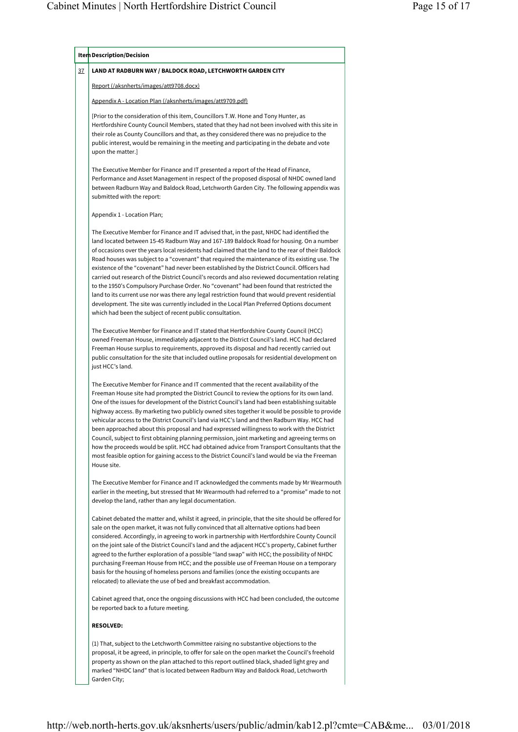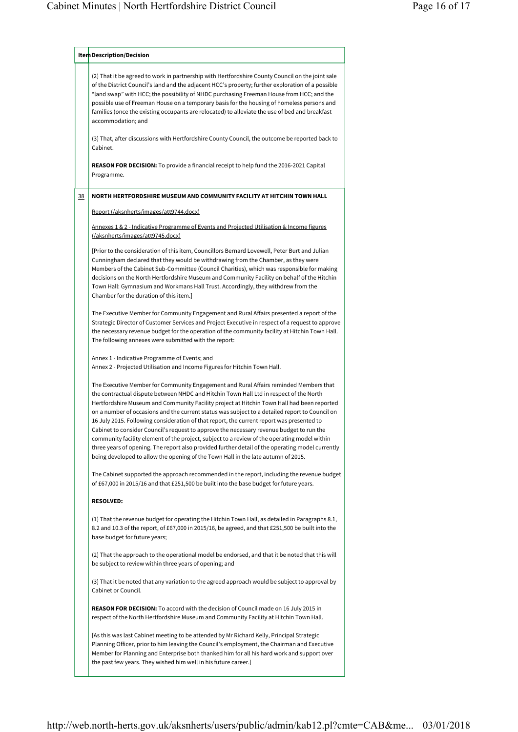|    | Item Description/Decision                                                                                                                                                                                                                                                                                                                                                                                                                                                                                                                                                                                                                                                                                                                                                                                                                                         |
|----|-------------------------------------------------------------------------------------------------------------------------------------------------------------------------------------------------------------------------------------------------------------------------------------------------------------------------------------------------------------------------------------------------------------------------------------------------------------------------------------------------------------------------------------------------------------------------------------------------------------------------------------------------------------------------------------------------------------------------------------------------------------------------------------------------------------------------------------------------------------------|
|    | (2) That it be agreed to work in partnership with Hertfordshire County Council on the joint sale<br>of the District Council's land and the adjacent HCC's property; further exploration of a possible<br>"land swap" with HCC; the possibility of NHDC purchasing Freeman House from HCC; and the<br>possible use of Freeman House on a temporary basis for the housing of homeless persons and<br>families (once the existing occupants are relocated) to alleviate the use of bed and breakfast<br>accommodation; and                                                                                                                                                                                                                                                                                                                                           |
|    | (3) That, after discussions with Hertfordshire County Council, the outcome be reported back to<br>Cabinet.                                                                                                                                                                                                                                                                                                                                                                                                                                                                                                                                                                                                                                                                                                                                                        |
|    | <b>REASON FOR DECISION:</b> To provide a financial receipt to help fund the 2016-2021 Capital<br>Programme.                                                                                                                                                                                                                                                                                                                                                                                                                                                                                                                                                                                                                                                                                                                                                       |
| 38 | NORTH HERTFORDSHIRE MUSEUM AND COMMUNITY FACILITY AT HITCHIN TOWN HALL                                                                                                                                                                                                                                                                                                                                                                                                                                                                                                                                                                                                                                                                                                                                                                                            |
|    | Report (/aksnherts/images/att9744.docx)                                                                                                                                                                                                                                                                                                                                                                                                                                                                                                                                                                                                                                                                                                                                                                                                                           |
|    | Annexes 1 & 2 - Indicative Programme of Events and Projected Utilisation & Income figures                                                                                                                                                                                                                                                                                                                                                                                                                                                                                                                                                                                                                                                                                                                                                                         |
|    | (/aksnherts/images/att9745.docx)                                                                                                                                                                                                                                                                                                                                                                                                                                                                                                                                                                                                                                                                                                                                                                                                                                  |
|    | [Prior to the consideration of this item, Councillors Bernard Lovewell, Peter Burt and Julian<br>Cunningham declared that they would be withdrawing from the Chamber, as they were<br>Members of the Cabinet Sub-Committee (Council Charities), which was responsible for making<br>decisions on the North Hertfordshire Museum and Community Facility on behalf of the Hitchin<br>Town Hall: Gymnasium and Workmans Hall Trust. Accordingly, they withdrew from the<br>Chamber for the duration of this item.]                                                                                                                                                                                                                                                                                                                                                   |
|    | The Executive Member for Community Engagement and Rural Affairs presented a report of the<br>Strategic Director of Customer Services and Project Executive in respect of a request to approve<br>the necessary revenue budget for the operation of the community facility at Hitchin Town Hall.<br>The following annexes were submitted with the report:                                                                                                                                                                                                                                                                                                                                                                                                                                                                                                          |
|    | Annex 1 - Indicative Programme of Events; and<br>Annex 2 - Projected Utilisation and Income Figures for Hitchin Town Hall.                                                                                                                                                                                                                                                                                                                                                                                                                                                                                                                                                                                                                                                                                                                                        |
|    | The Executive Member for Community Engagement and Rural Affairs reminded Members that<br>the contractual dispute between NHDC and Hitchin Town Hall Ltd in respect of the North<br>Hertfordshire Museum and Community Facility project at Hitchin Town Hall had been reported<br>on a number of occasions and the current status was subject to a detailed report to Council on<br>16 July 2015. Following consideration of that report, the current report was presented to<br>Cabinet to consider Council's request to approve the necessary revenue budget to run the<br>community facility element of the project, subject to a review of the operating model within<br>three years of opening. The report also provided further detail of the operating model currently<br>being developed to allow the opening of the Town Hall in the late autumn of 2015. |
|    | The Cabinet supported the approach recommended in the report, including the revenue budget<br>of £67,000 in 2015/16 and that £251,500 be built into the base budget for future years.                                                                                                                                                                                                                                                                                                                                                                                                                                                                                                                                                                                                                                                                             |
|    | <b>RESOLVED:</b>                                                                                                                                                                                                                                                                                                                                                                                                                                                                                                                                                                                                                                                                                                                                                                                                                                                  |
|    | (1) That the revenue budget for operating the Hitchin Town Hall, as detailed in Paragraphs 8.1,<br>8.2 and 10.3 of the report, of £67,000 in 2015/16, be agreed, and that £251,500 be built into the<br>base budget for future years;                                                                                                                                                                                                                                                                                                                                                                                                                                                                                                                                                                                                                             |
|    | (2) That the approach to the operational model be endorsed, and that it be noted that this will<br>be subject to review within three years of opening; and                                                                                                                                                                                                                                                                                                                                                                                                                                                                                                                                                                                                                                                                                                        |
|    | (3) That it be noted that any variation to the agreed approach would be subject to approval by<br>Cabinet or Council.                                                                                                                                                                                                                                                                                                                                                                                                                                                                                                                                                                                                                                                                                                                                             |
|    | <b>REASON FOR DECISION:</b> To accord with the decision of Council made on 16 July 2015 in<br>respect of the North Hertfordshire Museum and Community Facility at Hitchin Town Hall.                                                                                                                                                                                                                                                                                                                                                                                                                                                                                                                                                                                                                                                                              |
|    | [As this was last Cabinet meeting to be attended by Mr Richard Kelly, Principal Strategic<br>Planning Officer, prior to him leaving the Council's employment, the Chairman and Executive<br>Member for Planning and Enterprise both thanked him for all his hard work and support over<br>the past few years. They wished him well in his future career.]                                                                                                                                                                                                                                                                                                                                                                                                                                                                                                         |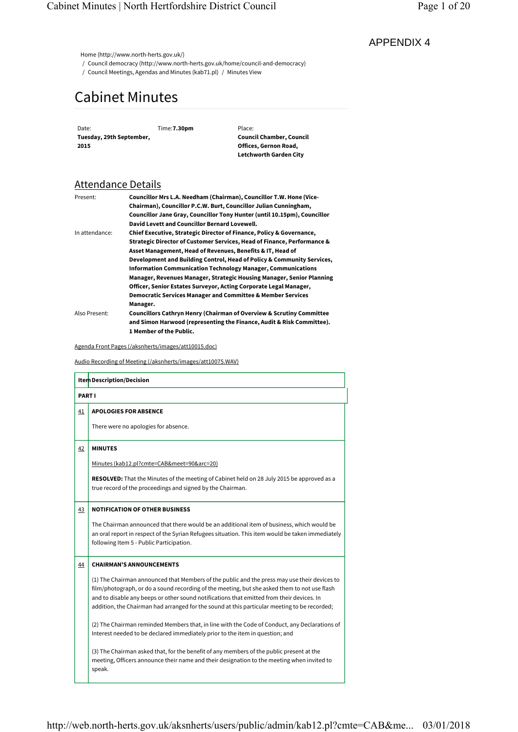- / Council democracy (http://www.north-herts.gov.uk/home/council-and-democracy)
- / Council Meetings, Agendas and Minutes (kab71.pl) / Minutes View

# Cabinet Minutes

## Attendance Details

| Present:       | Councillor Mrs L.A. Needham (Chairman), Councillor T.W. Hone (Vice-             |
|----------------|---------------------------------------------------------------------------------|
|                | Chairman), Councillor P.C.W. Burt, Councillor Julian Cunningham,                |
|                | Councillor Jane Gray, Councillor Tony Hunter (until 10.15pm), Councillor        |
|                | David Levett and Councillor Bernard Lovewell.                                   |
| In attendance: | Chief Executive, Strategic Director of Finance, Policy & Governance,            |
|                | Strategic Director of Customer Services, Head of Finance, Performance &         |
|                | Asset Management, Head of Revenues, Benefits & IT, Head of                      |
|                | Development and Building Control, Head of Policy & Community Services,          |
|                | <b>Information Communication Technology Manager, Communications</b>             |
|                | Manager, Revenues Manager, Strategic Housing Manager, Senior Planning           |
|                | Officer, Senior Estates Surveyor, Acting Corporate Legal Manager,               |
|                | <b>Democratic Services Manager and Committee &amp; Member Services</b>          |
|                | Manager.                                                                        |
| Also Present:  | <b>Councillors Cathryn Henry (Chairman of Overview &amp; Scrutiny Committee</b> |
|                | and Simon Harwood (representing the Finance, Audit & Risk Committee).           |
|                | 1 Member of the Public.                                                         |

|               | <b>Cabinet Minutes</b>          |          |                                                             |                                                                                                                                                                                                                                                                                                                                                                                                                                                                                                                                                                                        |  |
|---------------|---------------------------------|----------|-------------------------------------------------------------|----------------------------------------------------------------------------------------------------------------------------------------------------------------------------------------------------------------------------------------------------------------------------------------------------------------------------------------------------------------------------------------------------------------------------------------------------------------------------------------------------------------------------------------------------------------------------------------|--|
| Date:<br>2015 | Tuesday, 29th September,        |          | Time: 7.30pm                                                | Place:<br><b>Council Chamber, Council</b><br>Offices, Gernon Road,<br>Letchworth Garden City                                                                                                                                                                                                                                                                                                                                                                                                                                                                                           |  |
|               | <b>Attendance Details</b>       |          |                                                             |                                                                                                                                                                                                                                                                                                                                                                                                                                                                                                                                                                                        |  |
| Present:      |                                 |          | David Levett and Councillor Bernard Lovewell.               | Councillor Mrs L.A. Needham (Chairman), Councillor T.W. Hone (Vice-<br>Chairman), Councillor P.C.W. Burt, Councillor Julian Cunningham,<br>Councillor Jane Gray, Councillor Tony Hunter (until 10.15pm), Councillor                                                                                                                                                                                                                                                                                                                                                                    |  |
|               | In attendance:                  |          |                                                             | Chief Executive, Strategic Director of Finance, Policy & Governance,<br>Strategic Director of Customer Services, Head of Finance, Performance &<br>Asset Management, Head of Revenues, Benefits & IT, Head of<br>Development and Building Control, Head of Policy & Community Services,<br><b>Information Communication Technology Manager, Communications</b><br>Manager, Revenues Manager, Strategic Housing Manager, Senior Planning<br>Officer, Senior Estates Surveyor, Acting Corporate Legal Manager,<br><b>Democratic Services Manager and Committee &amp; Member Services</b> |  |
|               | Also Present:                   | Manager. | 1 Member of the Public.                                     | Councillors Cathryn Henry (Chairman of Overview & Scrutiny Committee<br>and Simon Harwood (representing the Finance, Audit & Risk Committee).                                                                                                                                                                                                                                                                                                                                                                                                                                          |  |
|               |                                 |          | Agenda Front Pages (/aksnherts/images/att10015.doc)         |                                                                                                                                                                                                                                                                                                                                                                                                                                                                                                                                                                                        |  |
|               |                                 |          | Audio Recording of Meeting (/aksnherts/images/att10075.WAV) |                                                                                                                                                                                                                                                                                                                                                                                                                                                                                                                                                                                        |  |
|               | Item Description/Decision       |          |                                                             |                                                                                                                                                                                                                                                                                                                                                                                                                                                                                                                                                                                        |  |
|               | PART I                          |          |                                                             |                                                                                                                                                                                                                                                                                                                                                                                                                                                                                                                                                                                        |  |
| <u>41</u>     | <b>APOLOGIES FOR ABSENCE</b>    |          |                                                             |                                                                                                                                                                                                                                                                                                                                                                                                                                                                                                                                                                                        |  |
|               |                                 |          | There were no apologies for absence.                        |                                                                                                                                                                                                                                                                                                                                                                                                                                                                                                                                                                                        |  |
| <u>42</u>     | <b>MINUTES</b>                  |          |                                                             |                                                                                                                                                                                                                                                                                                                                                                                                                                                                                                                                                                                        |  |
|               |                                 |          | Minutes (kab12.pl?cmte=CAB&meet=90&arc=20)                  |                                                                                                                                                                                                                                                                                                                                                                                                                                                                                                                                                                                        |  |
|               |                                 |          | true record of the proceedings and signed by the Chairman.  | <b>RESOLVED:</b> That the Minutes of the meeting of Cabinet held on 28 July 2015 be approved as a                                                                                                                                                                                                                                                                                                                                                                                                                                                                                      |  |
| <u>43</u>     |                                 |          | <b>NOTIFICATION OF OTHER BUSINESS</b>                       |                                                                                                                                                                                                                                                                                                                                                                                                                                                                                                                                                                                        |  |
|               |                                 |          | following Item 5 - Public Participation.                    | The Chairman announced that there would be an additional item of business, which would be<br>an oral report in respect of the Syrian Refugees situation. This item would be taken immediately                                                                                                                                                                                                                                                                                                                                                                                          |  |
|               | <b>CHAIRMAN'S ANNOUNCEMENTS</b> |          |                                                             |                                                                                                                                                                                                                                                                                                                                                                                                                                                                                                                                                                                        |  |
| <u>44</u>     |                                 |          |                                                             | (1) The Chairman announced that Members of the public and the press may use their devices to<br>film/photograph, or do a sound recording of the meeting, but she asked them to not use flash<br>and to disable any beeps or other sound notifications that emitted from their devices. In<br>addition, the Chairman had arranged for the sound at this particular meeting to be recorded;                                                                                                                                                                                              |  |
|               |                                 |          |                                                             | (2) The Chairman reminded Members that, in line with the Code of Conduct, any Declarations of<br>Interest needed to be declared immediately prior to the item in question; and                                                                                                                                                                                                                                                                                                                                                                                                         |  |
|               |                                 |          |                                                             |                                                                                                                                                                                                                                                                                                                                                                                                                                                                                                                                                                                        |  |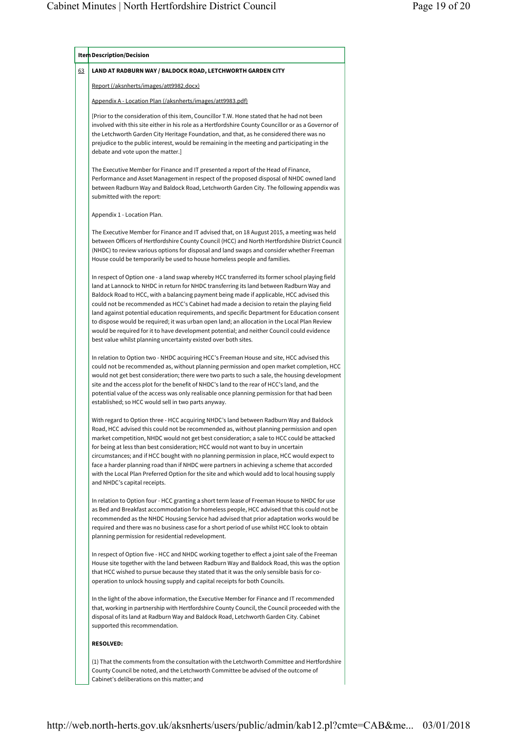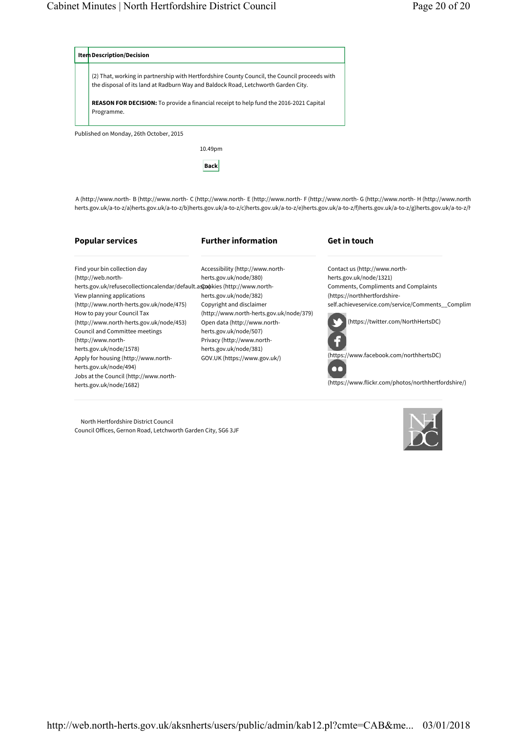

**Back**

A (http://www.north-B (http://www.north-C (http://www.north-E (http://www.north-F (http://www.north-G (http://www.north-H (http://www.north herts.gov.uk/a-to-z/a) herts.gov.uk/a-to-z/b) herts.gov.uk/a-to-z/c) herts.gov.uk/a-to-z/e) herts.gov.uk/a-to-z/f) herts.gov.uk/a-to-z/g) herts.gov.uk/a-to-z/h

### **Popular services**

Find your bin collection day (http://web.north-

View planning applications

How to pay your Council Tax

(http://www.northherts.gov.uk/node/1578)

herts.gov.uk/node/494)

herts.gov.uk/node/1682)

(http://www.north-herts.gov.uk/node/475)

(http://www.north-herts.gov.uk/node/453) Council and Committee meetings

Apply for housing (http://www.north-

Jobs at the Council (http://www.north-

### **Further information**

Accessibility (http://www.northherts.gov.uk/node/380) herts.gov.uk/node/382) Copyright and disclaimer

Open data (http://www.northherts.gov.uk/node/507) Privacy (http://www.northherts.gov.uk/node/381) GOV.UK (https://www.gov.uk/)

(http://www.north-herts.gov.uk/node/379)

### **Get in touch**

Contact us (http://www.northherts.gov.uk/node/1321) Comments, Compliments and Complaints (https://northhertfordshireself.achieveservice.com/service/Comments\_\_Complim



(https://www.flickr.com/photos/northhertfordshire/)

 North Hertfordshire District Council Council Offices, Gernon Road, Letchworth Garden City, SG6 3JF

herts.gov.uk/refusecollectioncalendar/default.aspxokies (http://www.north-

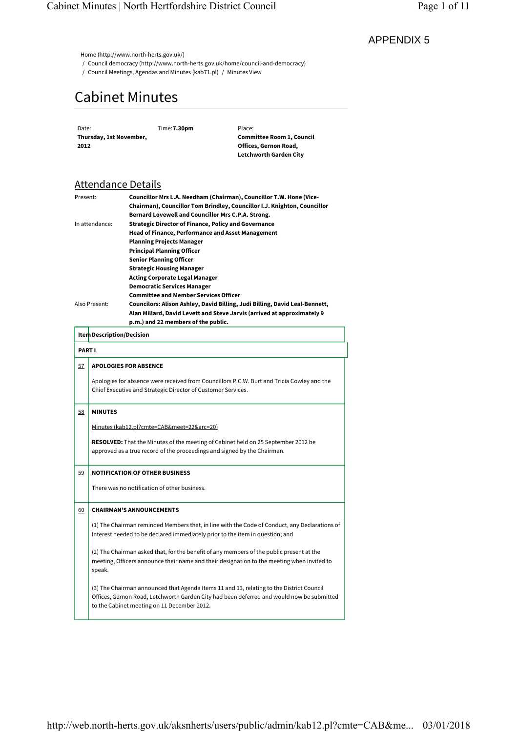# Cabinet Minutes

## Attendance Details

| 2012          | Date:<br>Thursday, 1st November,                                                                                                                                               |  | Time: 7.30pm                                                                                                                                                                         | Place:<br><b>Committee Room 1, Council</b><br>Offices, Gernon Road,<br><b>Letchworth Garden City</b>                                                                                                        |  |  |
|---------------|--------------------------------------------------------------------------------------------------------------------------------------------------------------------------------|--|--------------------------------------------------------------------------------------------------------------------------------------------------------------------------------------|-------------------------------------------------------------------------------------------------------------------------------------------------------------------------------------------------------------|--|--|
|               | <b>Attendance Details</b>                                                                                                                                                      |  |                                                                                                                                                                                      |                                                                                                                                                                                                             |  |  |
| Present:      | In attendance:                                                                                                                                                                 |  | Bernard Lovewell and Councillor Mrs C.P.A. Strong.<br><b>Strategic Director of Finance, Policy and Governance</b>                                                                    | Councillor Mrs L.A. Needham (Chairman), Councillor T.W. Hone (Vice-<br>Chairman), Councillor Tom Brindley, Councillor I.J. Knighton, Councillor<br><b>Head of Finance, Performance and Asset Management</b> |  |  |
|               |                                                                                                                                                                                |  | <b>Planning Projects Manager</b><br><b>Principal Planning Officer</b><br><b>Senior Planning Officer</b><br><b>Strategic Housing Manager</b><br><b>Acting Corporate Legal Manager</b> |                                                                                                                                                                                                             |  |  |
|               | Also Present:                                                                                                                                                                  |  | <b>Democratic Services Manager</b><br><b>Committee and Member Services Officer</b><br>p.m.) and 22 members of the public.                                                            | Councilors: Alison Ashley, David Billing, Judi Billing, David Leal-Bennett,<br>Alan Millard, David Levett and Steve Jarvis (arrived at approximately 9                                                      |  |  |
|               | Item Description/Decision                                                                                                                                                      |  |                                                                                                                                                                                      |                                                                                                                                                                                                             |  |  |
| <b>PART I</b> |                                                                                                                                                                                |  |                                                                                                                                                                                      |                                                                                                                                                                                                             |  |  |
| 57            | <b>APOLOGIES FOR ABSENCE</b>                                                                                                                                                   |  | Chief Executive and Strategic Director of Customer Services.                                                                                                                         | Apologies for absence were received from Councillors P.C.W. Burt and Tricia Cowley and the                                                                                                                  |  |  |
| 58            | <b>MINUTES</b>                                                                                                                                                                 |  | Minutes (kab12.pl?cmte=CAB&meet=22&arc=20)                                                                                                                                           | <b>RESOLVED:</b> That the Minutes of the meeting of Cabinet held on 25 September 2012 be                                                                                                                    |  |  |
|               |                                                                                                                                                                                |  |                                                                                                                                                                                      | approved as a true record of the proceedings and signed by the Chairman.                                                                                                                                    |  |  |
| <u>59</u>     |                                                                                                                                                                                |  | <b>NOTIFICATION OF OTHER BUSINESS</b>                                                                                                                                                |                                                                                                                                                                                                             |  |  |
|               |                                                                                                                                                                                |  | There was no notification of other business.                                                                                                                                         |                                                                                                                                                                                                             |  |  |
| 60            | <b>CHAIRMAN'S ANNOUNCEMENTS</b>                                                                                                                                                |  |                                                                                                                                                                                      |                                                                                                                                                                                                             |  |  |
|               | (1) The Chairman reminded Members that, in line with the Code of Conduct, any Declarations of<br>Interest needed to be declared immediately prior to the item in question; and |  |                                                                                                                                                                                      |                                                                                                                                                                                                             |  |  |
|               | speak.                                                                                                                                                                         |  |                                                                                                                                                                                      | (2) The Chairman asked that, for the benefit of any members of the public present at the<br>meeting, Officers announce their name and their designation to the meeting when invited to                      |  |  |
|               |                                                                                                                                                                                |  | to the Cabinet meeting on 11 December 2012.                                                                                                                                          | (3) The Chairman announced that Agenda Items 11 and 13, relating to the District Council<br>Offices, Gernon Road, Letchworth Garden City had been deferred and would now be submitted                       |  |  |
|               |                                                                                                                                                                                |  |                                                                                                                                                                                      |                                                                                                                                                                                                             |  |  |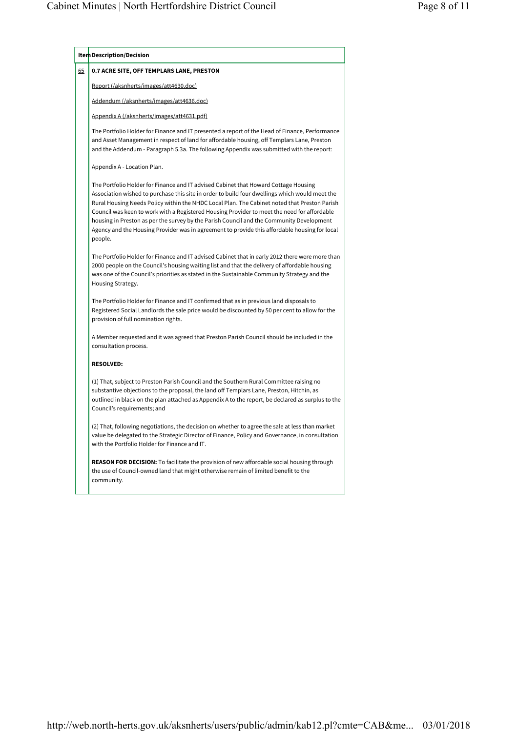|  | Item Description/Decision                                                                                                                                                                                                                                                                                                                                                                                                                                                                                                                                                                    |  |  |  |  |
|--|----------------------------------------------------------------------------------------------------------------------------------------------------------------------------------------------------------------------------------------------------------------------------------------------------------------------------------------------------------------------------------------------------------------------------------------------------------------------------------------------------------------------------------------------------------------------------------------------|--|--|--|--|
|  | 0.7 ACRE SITE, OFF TEMPLARS LANE, PRESTON                                                                                                                                                                                                                                                                                                                                                                                                                                                                                                                                                    |  |  |  |  |
|  | <u>Report (/aksnherts/images/att4630.doc)</u>                                                                                                                                                                                                                                                                                                                                                                                                                                                                                                                                                |  |  |  |  |
|  | Addendum (/aksnherts/images/att4636.doc)                                                                                                                                                                                                                                                                                                                                                                                                                                                                                                                                                     |  |  |  |  |
|  | Appendix A (/aksnherts/images/att4631.pdf)                                                                                                                                                                                                                                                                                                                                                                                                                                                                                                                                                   |  |  |  |  |
|  | The Portfolio Holder for Finance and IT presented a report of the Head of Finance, Performance<br>and Asset Management in respect of land for affordable housing, off Templars Lane, Preston<br>and the Addendum - Paragraph 5.3a. The following Appendix was submitted with the report:                                                                                                                                                                                                                                                                                                     |  |  |  |  |
|  | Appendix A - Location Plan.                                                                                                                                                                                                                                                                                                                                                                                                                                                                                                                                                                  |  |  |  |  |
|  | The Portfolio Holder for Finance and IT advised Cabinet that Howard Cottage Housing<br>Association wished to purchase this site in order to build four dwellings which would meet the<br>Rural Housing Needs Policy within the NHDC Local Plan. The Cabinet noted that Preston Parish<br>Council was keen to work with a Registered Housing Provider to meet the need for affordable<br>housing in Preston as per the survey by the Parish Council and the Community Development<br>Agency and the Housing Provider was in agreement to provide this affordable housing for local<br>people. |  |  |  |  |
|  | The Portfolio Holder for Finance and IT advised Cabinet that in early 2012 there were more than<br>2000 people on the Council's housing waiting list and that the delivery of affordable housing<br>was one of the Council's priorities as stated in the Sustainable Community Strategy and the<br>Housing Strategy.                                                                                                                                                                                                                                                                         |  |  |  |  |
|  | The Portfolio Holder for Finance and IT confirmed that as in previous land disposals to<br>Registered Social Landlords the sale price would be discounted by 50 per cent to allow for the<br>provision of full nomination rights.                                                                                                                                                                                                                                                                                                                                                            |  |  |  |  |
|  | A Member requested and it was agreed that Preston Parish Council should be included in the<br>consultation process.                                                                                                                                                                                                                                                                                                                                                                                                                                                                          |  |  |  |  |
|  | <b>RESOLVED:</b>                                                                                                                                                                                                                                                                                                                                                                                                                                                                                                                                                                             |  |  |  |  |
|  | (1) That, subject to Preston Parish Council and the Southern Rural Committee raising no<br>substantive objections to the proposal, the land off Templars Lane, Preston, Hitchin, as<br>outlined in black on the plan attached as Appendix A to the report, be declared as surplus to the<br>Council's requirements; and                                                                                                                                                                                                                                                                      |  |  |  |  |
|  | (2) That, following negotiations, the decision on whether to agree the sale at less than market<br>value be delegated to the Strategic Director of Finance, Policy and Governance, in consultation<br>with the Portfolio Holder for Finance and IT.                                                                                                                                                                                                                                                                                                                                          |  |  |  |  |
|  | <b>REASON FOR DECISION:</b> To facilitate the provision of new affordable social housing through<br>the use of Council-owned land that might otherwise remain of limited benefit to the<br>community.                                                                                                                                                                                                                                                                                                                                                                                        |  |  |  |  |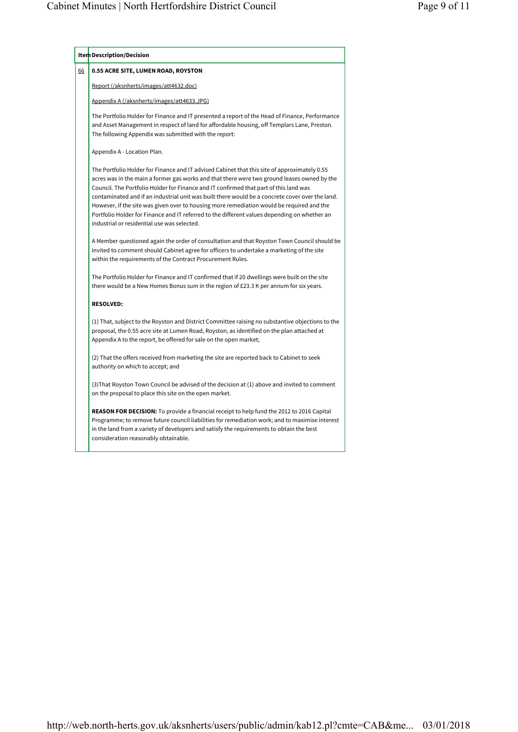|    | Item Description/Decision                                                                                                                                                                                                                                                                                                                                                                                                                                                                                                                                                                                                           |  |  |  |  |
|----|-------------------------------------------------------------------------------------------------------------------------------------------------------------------------------------------------------------------------------------------------------------------------------------------------------------------------------------------------------------------------------------------------------------------------------------------------------------------------------------------------------------------------------------------------------------------------------------------------------------------------------------|--|--|--|--|
| 66 | 0.55 ACRE SITE, LUMEN ROAD, ROYSTON                                                                                                                                                                                                                                                                                                                                                                                                                                                                                                                                                                                                 |  |  |  |  |
|    | Report (/aksnherts/images/att4632.doc)                                                                                                                                                                                                                                                                                                                                                                                                                                                                                                                                                                                              |  |  |  |  |
|    | Appendix A (/aksnherts/images/att4633.JPG)                                                                                                                                                                                                                                                                                                                                                                                                                                                                                                                                                                                          |  |  |  |  |
|    | The Portfolio Holder for Finance and IT presented a report of the Head of Finance, Performance<br>and Asset Management in respect of land for affordable housing, off Templars Lane, Preston.<br>The following Appendix was submitted with the report:                                                                                                                                                                                                                                                                                                                                                                              |  |  |  |  |
|    | Appendix A - Location Plan.                                                                                                                                                                                                                                                                                                                                                                                                                                                                                                                                                                                                         |  |  |  |  |
|    | The Portfolio Holder for Finance and IT advised Cabinet that this site of approximately 0.55<br>acres was in the main a former gas works and that there were two ground leases owned by the<br>Council. The Portfolio Holder for Finance and IT confirmed that part of this land was<br>contaminated and if an industrial unit was built there would be a concrete cover over the land.<br>However, if the site was given over to housing more remediation would be required and the<br>Portfolio Holder for Finance and IT referred to the different values depending on whether an<br>industrial or residential use was selected. |  |  |  |  |
|    | A Member questioned again the order of consultation and that Royston Town Council should be<br>invited to comment should Cabinet agree for officers to undertake a marketing of the site<br>within the requirements of the Contract Procurement Rules.                                                                                                                                                                                                                                                                                                                                                                              |  |  |  |  |
|    | The Portfolio Holder for Finance and IT confirmed that if 20 dwellings were built on the site<br>there would be a New Homes Bonus sum in the region of £23.3 K per annum for six years.                                                                                                                                                                                                                                                                                                                                                                                                                                             |  |  |  |  |
|    | <b>RESOLVED:</b>                                                                                                                                                                                                                                                                                                                                                                                                                                                                                                                                                                                                                    |  |  |  |  |
|    | (1) That, subject to the Royston and District Committee raising no substantive objections to the<br>proposal, the 0.55 acre site at Lumen Road, Royston, as identified on the plan attached at<br>Appendix A to the report, be offered for sale on the open market;                                                                                                                                                                                                                                                                                                                                                                 |  |  |  |  |
|    | (2) That the offers received from marketing the site are reported back to Cabinet to seek<br>authority on which to accept; and                                                                                                                                                                                                                                                                                                                                                                                                                                                                                                      |  |  |  |  |
|    | (3) That Royston Town Council be advised of the decision at (1) above and invited to comment<br>on the proposal to place this site on the open market.                                                                                                                                                                                                                                                                                                                                                                                                                                                                              |  |  |  |  |
|    | <b>REASON FOR DECISION:</b> To provide a financial receipt to help fund the 2012 to 2016 Capital<br>Programme; to remove future council liabilities for remediation work; and to maximise interest<br>in the land from a variety of developers and satisfy the requirements to obtain the best<br>consideration reasonably obtainable.                                                                                                                                                                                                                                                                                              |  |  |  |  |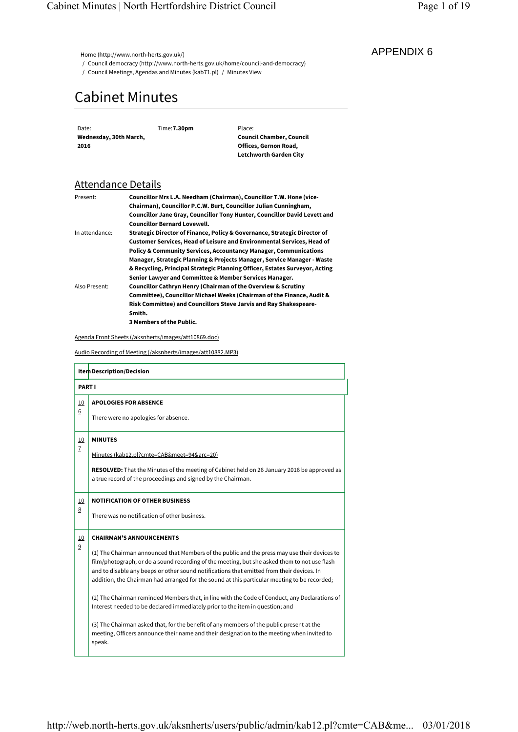# Cabinet Minutes

## Attendance Details

| Present:       | Councillor Mrs L.A. Needham (Chairman), Councillor T.W. Hone (vice-           |
|----------------|-------------------------------------------------------------------------------|
|                | Chairman), Councillor P.C.W. Burt, Councillor Julian Cunningham,              |
|                | Councillor Jane Gray, Councillor Tony Hunter, Councillor David Levett and     |
|                | <b>Councillor Bernard Lovewell.</b>                                           |
| In attendance: | Strategic Director of Finance, Policy & Governance, Strategic Director of     |
|                | <b>Customer Services, Head of Leisure and Environmental Services, Head of</b> |
|                | <b>Policy &amp; Community Services, Accountancy Manager, Communications</b>   |
|                | Manager, Strategic Planning & Projects Manager, Service Manager - Waste       |
|                | & Recycling, Principal Strategic Planning Officer, Estates Surveyor, Acting   |
|                | Senior Lawyer and Committee & Member Services Manager.                        |
| Also Present:  | <b>Councillor Cathryn Henry (Chairman of the Overview &amp; Scrutiny</b>      |
|                | Committee), Councillor Michael Weeks (Chairman of the Finance, Audit &        |
|                | Risk Committee) and Councillors Steve Jarvis and Ray Shakespeare-             |
|                | Smith.                                                                        |
|                | 3 Members of the Public.                                                      |

| 2016                      | Date:<br>Wednesday, 30th March, |                                                                                                                                                                                                                                                                                                                                                                                                                                             | Time: 7.30pm                                                                                               |  | Place:<br><b>Council Chamber, Council</b><br>Offices, Gernon Road,<br>Letchworth Garden City                                                                                                                                                                                                                                                                                              |  |
|---------------------------|---------------------------------|---------------------------------------------------------------------------------------------------------------------------------------------------------------------------------------------------------------------------------------------------------------------------------------------------------------------------------------------------------------------------------------------------------------------------------------------|------------------------------------------------------------------------------------------------------------|--|-------------------------------------------------------------------------------------------------------------------------------------------------------------------------------------------------------------------------------------------------------------------------------------------------------------------------------------------------------------------------------------------|--|
|                           | <u>Attendance Details</u>       |                                                                                                                                                                                                                                                                                                                                                                                                                                             |                                                                                                            |  |                                                                                                                                                                                                                                                                                                                                                                                           |  |
| Present:                  |                                 |                                                                                                                                                                                                                                                                                                                                                                                                                                             | <b>Councillor Bernard Lovewell.</b>                                                                        |  | Councillor Mrs L.A. Needham (Chairman), Councillor T.W. Hone (vice-<br>Chairman), Councillor P.C.W. Burt, Councillor Julian Cunningham,<br>Councillor Jane Gray, Councillor Tony Hunter, Councillor David Levett and                                                                                                                                                                      |  |
| In attendance:            |                                 | Strategic Director of Finance, Policy & Governance, Strategic Director of<br>Customer Services, Head of Leisure and Environmental Services, Head of<br>Policy & Community Services, Accountancy Manager, Communications<br>Manager, Strategic Planning & Projects Manager, Service Manager - Waste<br>& Recycling, Principal Strategic Planning Officer, Estates Surveyor, Acting<br>Senior Lawyer and Committee & Member Services Manager. |                                                                                                            |  |                                                                                                                                                                                                                                                                                                                                                                                           |  |
|                           | Also Present:                   | Smith.                                                                                                                                                                                                                                                                                                                                                                                                                                      |                                                                                                            |  | Councillor Cathryn Henry (Chairman of the Overview & Scrutiny<br>Committee), Councillor Michael Weeks (Chairman of the Finance, Audit &<br>Risk Committee) and Councillors Steve Jarvis and Ray Shakespeare-                                                                                                                                                                              |  |
|                           |                                 |                                                                                                                                                                                                                                                                                                                                                                                                                                             | 3 Members of the Public.<br>Agenda Front Sheets (/aksnherts/images/att10869.doc)                           |  |                                                                                                                                                                                                                                                                                                                                                                                           |  |
|                           |                                 |                                                                                                                                                                                                                                                                                                                                                                                                                                             | Audio Recording of Meeting (/aksnherts/images/att10882.MP3)                                                |  |                                                                                                                                                                                                                                                                                                                                                                                           |  |
|                           | Item Description/Decision       |                                                                                                                                                                                                                                                                                                                                                                                                                                             |                                                                                                            |  |                                                                                                                                                                                                                                                                                                                                                                                           |  |
|                           |                                 |                                                                                                                                                                                                                                                                                                                                                                                                                                             |                                                                                                            |  |                                                                                                                                                                                                                                                                                                                                                                                           |  |
|                           | <b>PART I</b>                   |                                                                                                                                                                                                                                                                                                                                                                                                                                             |                                                                                                            |  |                                                                                                                                                                                                                                                                                                                                                                                           |  |
| <u>10</u>                 | <b>APOLOGIES FOR ABSENCE</b>    |                                                                                                                                                                                                                                                                                                                                                                                                                                             |                                                                                                            |  |                                                                                                                                                                                                                                                                                                                                                                                           |  |
| 6                         |                                 |                                                                                                                                                                                                                                                                                                                                                                                                                                             | There were no apologies for absence.                                                                       |  |                                                                                                                                                                                                                                                                                                                                                                                           |  |
|                           |                                 |                                                                                                                                                                                                                                                                                                                                                                                                                                             |                                                                                                            |  |                                                                                                                                                                                                                                                                                                                                                                                           |  |
| <u>10</u><br>$\mathbf{Z}$ | <b>MINUTES</b>                  |                                                                                                                                                                                                                                                                                                                                                                                                                                             |                                                                                                            |  |                                                                                                                                                                                                                                                                                                                                                                                           |  |
|                           |                                 |                                                                                                                                                                                                                                                                                                                                                                                                                                             | Minutes (kab12.pl?cmte=CAB&meet=94&arc=20)<br>a true record of the proceedings and signed by the Chairman. |  | <b>RESOLVED:</b> That the Minutes of the meeting of Cabinet held on 26 January 2016 be approved as                                                                                                                                                                                                                                                                                        |  |
| <u>10</u>                 |                                 |                                                                                                                                                                                                                                                                                                                                                                                                                                             | <b>NOTIFICATION OF OTHER BUSINESS</b>                                                                      |  |                                                                                                                                                                                                                                                                                                                                                                                           |  |
| 8                         |                                 |                                                                                                                                                                                                                                                                                                                                                                                                                                             | There was no notification of other business.                                                               |  |                                                                                                                                                                                                                                                                                                                                                                                           |  |
| <u>10</u>                 | <b>CHAIRMAN'S ANNOUNCEMENTS</b> |                                                                                                                                                                                                                                                                                                                                                                                                                                             |                                                                                                            |  |                                                                                                                                                                                                                                                                                                                                                                                           |  |
| 9                         |                                 |                                                                                                                                                                                                                                                                                                                                                                                                                                             |                                                                                                            |  | (1) The Chairman announced that Members of the public and the press may use their devices to<br>film/photograph, or do a sound recording of the meeting, but she asked them to not use flash<br>and to disable any beeps or other sound notifications that emitted from their devices. In<br>addition, the Chairman had arranged for the sound at this particular meeting to be recorded; |  |
|                           |                                 |                                                                                                                                                                                                                                                                                                                                                                                                                                             |                                                                                                            |  | (2) The Chairman reminded Members that, in line with the Code of Conduct, any Declarations of<br>Interest needed to be declared immediately prior to the item in question; and                                                                                                                                                                                                            |  |